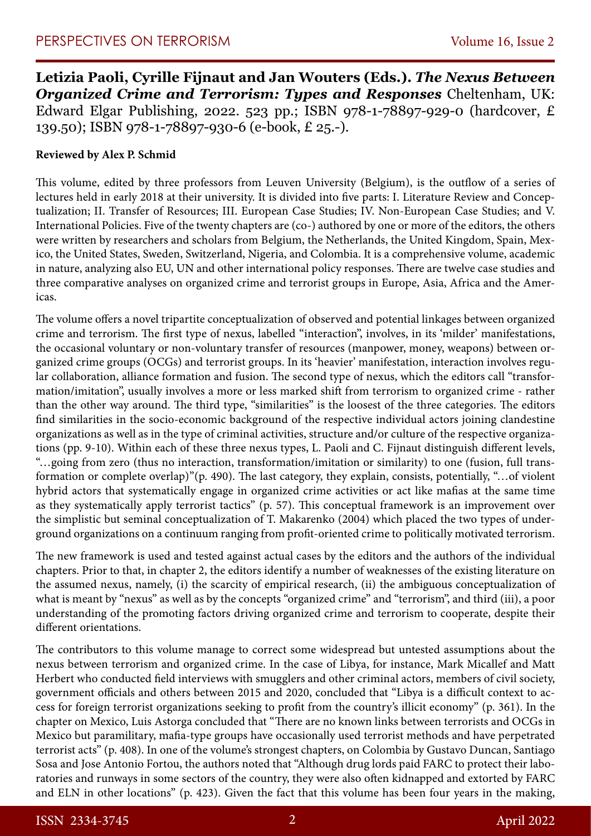**Letizia Paoli, Cyrille Fijnaut and Jan Wouters (Eds.).** *The Nexus Between Organized Crime and Terrorism: Types and Responses* Cheltenham, UK: Edward Elgar Publishing, 2022. 523 pp.; ISBN 978-1-78897-929-0 (hardcover, £ 139.50); ISBN 978-1-78897-930-6 (e-book, £ 25.-).

## **Reviewed by Alex P. Schmid**

This volume, edited by three professors from Leuven University (Belgium), is the outflow of a series of lectures held in early 2018 at their university. It is divided into five parts: I. Literature Review and Conceptualization; II. Transfer of Resources; III. European Case Studies; IV. Non-European Case Studies; and V. International Policies. Five of the twenty chapters are (co-) authored by one or more of the editors, the others were written by researchers and scholars from Belgium, the Netherlands, the United Kingdom, Spain, Mexico, the United States, Sweden, Switzerland, Nigeria, and Colombia. It is a comprehensive volume, academic in nature, analyzing also EU, UN and other international policy responses. There are twelve case studies and three comparative analyses on organized crime and terrorist groups in Europe, Asia, Africa and the Americas.

The volume offers a novel tripartite conceptualization of observed and potential linkages between organized crime and terrorism. The first type of nexus, labelled "interaction", involves, in its 'milder' manifestations, the occasional voluntary or non-voluntary transfer of resources (manpower, money, weapons) between organized crime groups (OCGs) and terrorist groups. In its 'heavier' manifestation, interaction involves regular collaboration, alliance formation and fusion. The second type of nexus, which the editors call "transformation/imitation", usually involves a more or less marked shift from terrorism to organized crime - rather than the other way around. The third type, "similarities" is the loosest of the three categories. The editors find similarities in the socio-economic background of the respective individual actors joining clandestine organizations as well as in the type of criminal activities, structure and/or culture of the respective organizations (pp. 9-10). Within each of these three nexus types, L. Paoli and C. Fijnaut distinguish different levels, "…going from zero (thus no interaction, transformation/imitation or similarity) to one (fusion, full transformation or complete overlap)"(p. 490). The last category, they explain, consists, potentially, "…of violent hybrid actors that systematically engage in organized crime activities or act like mafias at the same time as they systematically apply terrorist tactics" (p. 57). This conceptual framework is an improvement over the simplistic but seminal conceptualization of T. Makarenko (2004) which placed the two types of underground organizations on a continuum ranging from profit-oriented crime to politically motivated terrorism.

The new framework is used and tested against actual cases by the editors and the authors of the individual chapters. Prior to that, in chapter 2, the editors identify a number of weaknesses of the existing literature on the assumed nexus, namely, (i) the scarcity of empirical research, (ii) the ambiguous conceptualization of what is meant by "nexus" as well as by the concepts "organized crime" and "terrorism", and third (iii), a poor understanding of the promoting factors driving organized crime and terrorism to cooperate, despite their different orientations.

The contributors to this volume manage to correct some widespread but untested assumptions about the nexus between terrorism and organized crime. In the case of Libya, for instance, Mark Micallef and Matt Herbert who conducted field interviews with smugglers and other criminal actors, members of civil society, government officials and others between 2015 and 2020, concluded that "Libya is a difficult context to access for foreign terrorist organizations seeking to profit from the country's illicit economy" (p. 361). In the chapter on Mexico, Luis Astorga concluded that "There are no known links between terrorists and OCGs in Mexico but paramilitary, mafia-type groups have occasionally used terrorist methods and have perpetrated terrorist acts" (p. 408). In one of the volume's strongest chapters, on Colombia by Gustavo Duncan, Santiago Sosa and Jose Antonio Fortou, the authors noted that "Although drug lords paid FARC to protect their laboratories and runways in some sectors of the country, they were also often kidnapped and extorted by FARC and ELN in other locations" (p. 423). Given the fact that this volume has been four years in the making,